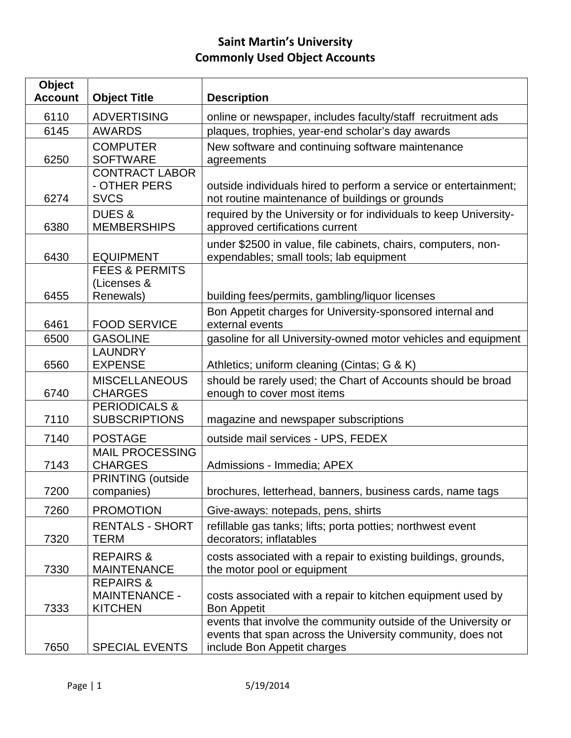## **Saint Martin's University Commonly Used Object Accounts**

| <b>Object</b><br><b>Account</b> | <b>Object Title</b>                                            | <b>Description</b>                                                                                                                                          |
|---------------------------------|----------------------------------------------------------------|-------------------------------------------------------------------------------------------------------------------------------------------------------------|
| 6110                            | <b>ADVERTISING</b>                                             | online or newspaper, includes faculty/staff recruitment ads                                                                                                 |
| 6145                            | <b>AWARDS</b>                                                  | plaques, trophies, year-end scholar's day awards                                                                                                            |
| 6250                            | <b>COMPUTER</b><br><b>SOFTWARE</b>                             | New software and continuing software maintenance<br>agreements                                                                                              |
| 6274                            | <b>CONTRACT LABOR</b><br>- OTHER PERS<br><b>SVCS</b>           | outside individuals hired to perform a service or entertainment;<br>not routine maintenance of buildings or grounds                                         |
| 6380                            | <b>DUES &amp;</b><br><b>MEMBERSHIPS</b>                        | required by the University or for individuals to keep University-<br>approved certifications current                                                        |
| 6430                            | <b>EQUIPMENT</b>                                               | under \$2500 in value, file cabinets, chairs, computers, non-<br>expendables; small tools; lab equipment                                                    |
| 6455                            | <b>FEES &amp; PERMITS</b><br>(Licenses &<br>Renewals)          | building fees/permits, gambling/liquor licenses                                                                                                             |
| 6461                            | <b>FOOD SERVICE</b>                                            | Bon Appetit charges for University-sponsored internal and<br>external events                                                                                |
| 6500                            | <b>GASOLINE</b>                                                | gasoline for all University-owned motor vehicles and equipment                                                                                              |
| 6560                            | <b>LAUNDRY</b><br><b>EXPENSE</b>                               | Athletics; uniform cleaning (Cintas; G & K)                                                                                                                 |
| 6740                            | <b>MISCELLANEOUS</b><br><b>CHARGES</b>                         | should be rarely used; the Chart of Accounts should be broad<br>enough to cover most items                                                                  |
| 7110                            | <b>PERIODICALS &amp;</b><br><b>SUBSCRIPTIONS</b>               | magazine and newspaper subscriptions                                                                                                                        |
| 7140                            | <b>POSTAGE</b>                                                 | outside mail services - UPS, FEDEX                                                                                                                          |
| 7143                            | <b>MAIL PROCESSING</b><br><b>CHARGES</b>                       | Admissions - Immedia; APEX                                                                                                                                  |
| 7200                            | <b>PRINTING</b> (outside<br>companies)                         | brochures, letterhead, banners, business cards, name tags                                                                                                   |
| 7260                            | <b>PROMOTION</b>                                               | Give-aways: notepads, pens, shirts                                                                                                                          |
| 7320                            | <b>RENTALS - SHORT</b><br><b>TERM</b>                          | refillable gas tanks; lifts; porta potties; northwest event<br>decorators; inflatables                                                                      |
| 7330                            | <b>REPAIRS &amp;</b><br><b>MAINTENANCE</b>                     | costs associated with a repair to existing buildings, grounds,<br>the motor pool or equipment                                                               |
| 7333                            | <b>REPAIRS &amp;</b><br><b>MAINTENANCE -</b><br><b>KITCHEN</b> | costs associated with a repair to kitchen equipment used by<br><b>Bon Appetit</b>                                                                           |
| 7650                            | <b>SPECIAL EVENTS</b>                                          | events that involve the community outside of the University or<br>events that span across the University community, does not<br>include Bon Appetit charges |